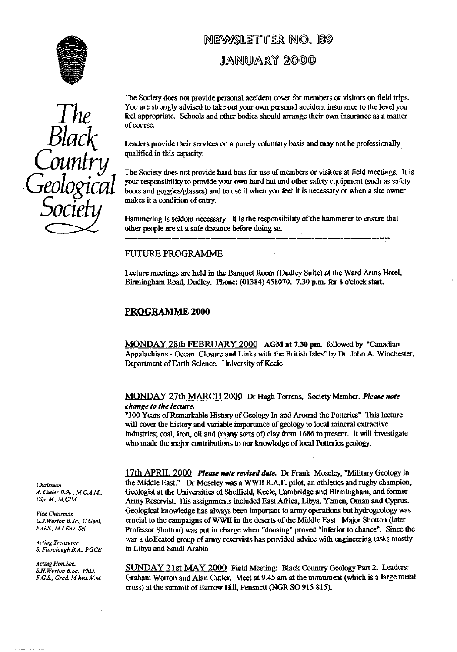

## NEWSLETTER NO. 139

### **JANUARY** 2©DO



The Society does not provide personal accident cover for members or visitors on field trips. You are strongly advised to take out your own personal accident insurance to the level you feel appropriate. Schools and other bodies should arrange their own insurance as a matter of course.

Black Leaders provide their servi**ce**s on a purely voluntary basis and may not be professionally qualified in this capacity.

The Society does not provide hard hats for use of members or visitors at field meetings. It is your responsibility to provide your own hard hat and other safety equipment (such as safety boots and goggles/glasses) and to use it when you feel it is necessary **or** when a site owner makes it a condition of entry.

Hammering is seldom necessary. It is the responsibility of the hammerer to ensure that other people are at a safe distance before doing so.

#### FUTURE PROGRAMME

Lecture meetings are held in the Banquet Room (Dudley Suite) at the Ward Arms Hotel, Birmingham Road, Dudley. Phone: (01384) 458070. 7.30 p.m. for 8 o'clock start.

#### PROGRAMME 2000

MONDAY 28th FEBRUARY 2000 AGM at 7.30 pm. followed by "Canadian Appalachians - Ocean Closure and Links with the British Isles" by Dr John A. Winchester, Department of Earth Science, University of Kecle

MONDAY 27th MARCH 2000 Dr Hugh Torrens, Society Member. *Please note change to the lecture.*

"300 Years of Remarkable History of Geology In and Around the Potteries" This lecture will cover the history and variable importance of geology to local mineral extractive indus**tr**ies; coal, iron, oil and (many sorts of) clay from 1686 to present. It will investigate who made the major contributions to our knowledge of local Potteries geology.

17th APRIL 2000 *Please note revised date.* Dr Frank Moseley, "Military Geology in *Chairman* the Middle East." Dr Moseley was a WWII R.A.F. pilot, an athletics and rugby champion, *A. Cutler B.Sc., M.C.A.M.* Geologist at the Universities of Sheffield, Keele, Cambridge and Birmingham, and former *A\_ Cutler B.Sc., M.* CAM., Geologist at the Universities of Sheffield, Keele, Cambridge and Birmingham, and former *Dip. M, M CIM* Army Reservist. His assignments included East Africa, Libya, Yemen, Oman and Cyprus. *Vice Chairman* Geological knowledge has always been important to army operations but hydrogeology was G.J.Worton B.Sc., C.Geol, crucial to the campaigns of WWII in the deserts of the Middle East. Major Shotton (later *G.J. Worton B.Sc., C.Geol,* crucial to the campaigns of WWII in the deserts of the Middle East. Major Shotton (later F.G.S., M.L.Env. Sci Professor Shotton) was put in charge when "dousing" proved "inferior to chance". Si F.G.S., *MI Env. Sci* Professor Shotton) was put in charge when "dousing" proved "inferio<sup>r</sup> to chance". Since the Acting *Treasurer* war a dedicated group of army reservists has provided advice with engineering tasks mostly S. Fairclough B.A., PGCE in Libya and Saudi Arabia in Libya and Saudi Arabia

*Acting Hon.Sec.*<br>*S.H.Worton B.Sc., PhD.*  $\frac{\text{SUNDAY 21st MAY 2000}}{21st MAX 2000}$  Field Meeting: Black Country Geology Part 2. Leaders: Graham Worton and Alan Cutler. Meet at 9.45 am at the monument (which is a large metal cross) at the summit of Barrow Hill, Pensnett (NGR SO 915 815).

*. Acting Hon.Sec.*<br>*S.H.Worton B.Sc., PhD.*<br>*F.G.S., Grad. M.Inst.W.M.*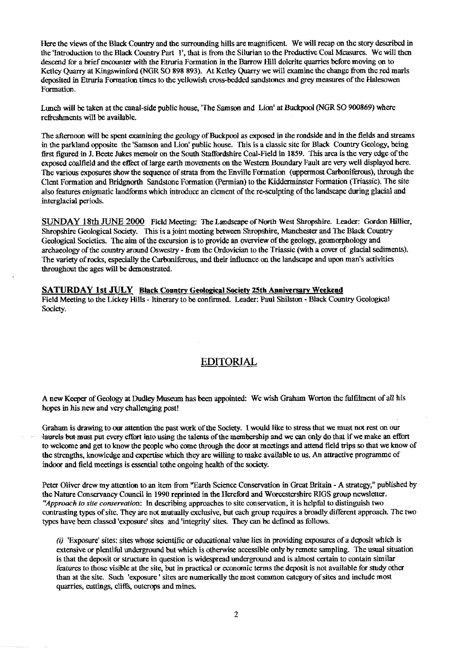Here the views of the Black Country and the surrounding hills are magnificent. We will recap on the story described in the 'Introduction to the Black Country Part 1', that is from the Silurian to the Productive Coal Measures. We will then descend for a brief encounter with the Etru<sup>r</sup> ia Formation in the Barrow Hill dolcrite quarries before moving on to Ketley Quarry at Kingswinford (NGR SO 898 893). At Ketley Quarry we will examine the change from the red marls deposited in Etruria Formation times to the yellowish cross-bedded sandstones and grey measures of the Halesowen Formation.

Lunch will be taken at the canal-side public house, 'The Samson and Lion' at Buckpool (NGR SO 900869) where refreshments will be available.

The afternoon will be spent examining the geology of Buckpool as exposed in the roadside and in the fields and streams in the parkland opposite the 'Samson and Lion' public house. This is a classic site for Black Country Geology, being first figured in J. Beete Jukes memoir on the South Staffordshire Coal-Field in 1859. This area is the very edge of the exposed coalfield and the effect of large earth movements on the Western Boundary Fault are very well displayed here. The various exposures show the sequence of strata from the Enville Formation (uppermost Carboniferous), through the Clent Formation and Bridgnorth Sandstone Formation (Permian) to the Kidderminster Formation (Triassic). The site also features enigmatic landforms which introduce an element of the re-sculpting of the landscape during glacial and interglacial periods.

SUNDAY 18th JUNE 2000 Field Meeting: The Landscape of North West Shropshire. Leader: Gordon Hillier, Shropshire Geological Society. This is a joint meeting between Shropshire, Manchester and The Black Country Geological Societies. The aim of the excursion is to provide an overview of the geology, geomorphology and archaeology of the country around Oswestry - from the Ordovician to the Triassic (with a cover of glacial sediments). The variety of rocks, especially the Carboniferous, and their influence on the landscape and upon man's activities throughout the ages will be demonstrated.

**SATURDAY 1st JULY Black Country Geological Society 25th Anniversar yWeckend** Field Meeting to the Lickey Hills - Itinerary to be confirmed. Leader: Paul Shilston - Black Country Geological Society.

## **EDITORIAL**

A new Keeper of Geology at Dudley Museum has been appointed: We wish Graham Worton the fulfilment of all his hopes in his new and very challenging post!

Graham is drawing to our attention the past work of the Society. I would like to stress that we must not rest on our laurels but-must put every effort into using the talents of the membership and we can only do that if we make an effort to welcome and get to know the people who come through the door at meetings and attend field trips so that we know of the strengths, knowledge and expertise which they are willing to make available to us. An attractive programme of indoor and field meetings is essential tothe ongoing health of the society.

Peter Oliver drew my attention to an item from "Earth Science Conservation in Great Britain - A strategy," published by the Nature Conservancy Council in 1990 reprinted in the Hereford and Worcestershire RIGS group newsletter. *`Approach to site conservation:* In describing approaches to site conservation, it is helpful to distinguish two contrasting types of site. They are not mutually exclusive, but each group requires a broadly different approach. The two types have been classed 'exposure' sites and'integrity' sites. They can be defined as follows.

(i) 'Exposure' sites: sites whose scientific or educational value lies in providing exposures of a deposit which is extensive or plentiful underground but which is otherwise accessible only by remote sampling. The usual situation is that the deposit or structure in question is widespread underground and is almost certain to contain similar features to those visible at the site, but in practical or economic terms the deposit is not available for study other than at the site. Such 'exposure' sites are numerically the most common category of sites and include most quarries, cuttings, cliffs, outcrops and mines.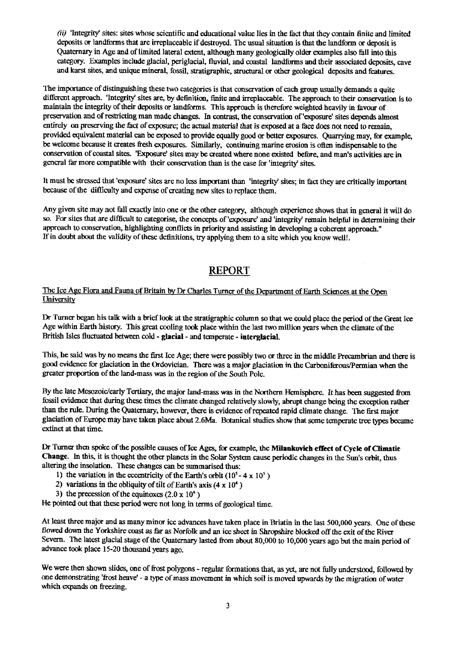(ii) 'Integrity' sites: sites whose scientific and educational value lies in the fact that they contain finite and limited deposits or landforms that are irreplaceable if destroyed. The usual situation is that the landform or deposit is Quaternary in Age and of limited lateral extent, although many geologically older examples also fall into this category. Examples include glacial, periglacial, fluvial, and coastal landforms and their associated deposits, cave and karst sites, and unique mineral, fossil, **st**ratigraphic, structural or other geological deposits and features.

The importance of distinguishing these two categories is that conservation of each group usually demands a quite different approach. 'Integrity' sites are, by defini**ti**on, finite and irreplaceable. The appr**oa**ch to their conservation is to maintain the integrity of their deposits or landforms. This approach is therefore weighted heavily in favour of preservation and of restricting man made changes. In contrast, the conservation of'exposure' sites depends almost entirely on preserving the fact of exposure; the actual material that is exposed at a face does not need to remain, provided equivalent material can be exposed to provide equally good or better exposures. Quarrying may, for example, **be** welcome because it creates fresh exposures. Similarly, continuing marine erosion is often indispensable to the conservation of coastal sites. 'Exposure' sites may be created where none existed before, and man's activities are in general far more compatible with their conservation than is the case for 'integrity sites.

It must be stressed that 'exposure' sites are no less important than 'integrity sites; in fact they are critically important because of the difficulty and expense of creating new sites to replace them.

Any given site may not fall exactly into one or the other category, although experience shows that in general it will do so. For sites that are difficult to categorise, the concepts of 'exposure' and 'integrity' remain helpful in determining their approach to conservation, highlighting conflicts in priority and assisting in developing a coherent approach." If in doubt about the validity of these definitions, try applying them to a site which you know **well!.**

# **REPOR**

#### The Ice **Age** Flora and Fauna of Britain by Dr Charles Turner of the Department of Earth Sciences at the **University**

Dr Turner began his talk with a brief look at the stratigraphic column so that we could place the period of the Great Ice Age within Earth histary. This great cooling took place within the last two million years when **the** climate of the British Isles fluctuated between cold - glacial - and temperate - interglacial.

This, he said was by no means the first Ice Age; there were possibly two or three in the middle Precambrian and there is good evidence for glaciation in the Ordovician. There was a major glaciation in the Carboniferous/Permian when the greater proportion of the land-mass was in the region of the South Pole.

By the late Mesozoic/early Tertiary, the major land-mass was in the Northern Hemisphere. It has been suggested from fossil evidence that during these times the climate changed relatively slowly, abrupt change being the exception rather than the rule. During the Quaternary, however, there is evidence of repeated rapid climate change. The first major glaciation of Europe may have taken place about 2.6Ma. Botanical studies show that some temperate **tr**ee types became extinct at that time.

Dr Turner then spoke of the possible causes of Ice Ages, for example, the Milankovich effect of Cycle of Climatic Change. In this, it is thought the other planets in the Solar System cause periodic changes in the Sun's orbit, thus altering the insolation. These changes ca**n** be summarised thus:

- 1) the variation in the eccentricity of the Earth's orbit  $(10^5 4 \times 10^5)$
- 2) variations in the obliquity of tilt of Earth's axis  $(4 \times 10^4)$
- 3) the precession of the equinoxes  $(2.0 \times 10^4)$

He pointed out that these **per**iod were not long in terms of geological time.

At least three major and as many minor ice advances have taken place in Briatin in the last 500,000 years. One of these flowed down the Yorkshire coast as far as Norfolk and an ice sheet in Shropshire blocked **off** the exit of the River Severn. The latest glacial stage of the Quaternary lasted from about 80,000 to 10,000 years ago but the main period of advance took place 15-20 thousand years ago.

We were then shown slides, one of frost polygons - regular formations that, as yet, are not fully understood, followed by one demonstrating 'frost heave` - a type of mass movement in which soil is moved upwards by the migration of water which expands on freezing.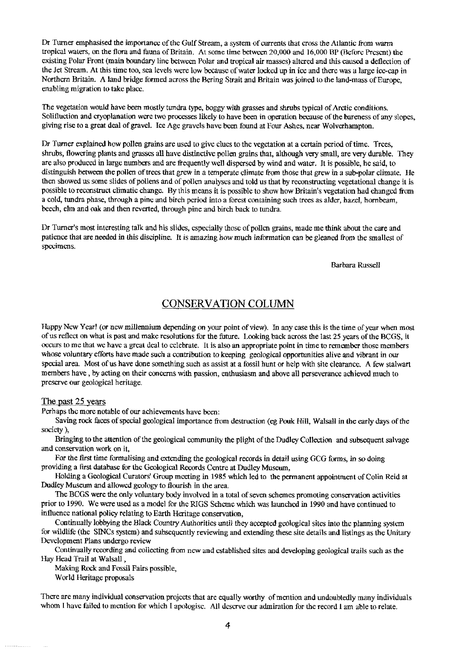Dr Turner emphasised the importance of the Gulf Stream, a system of currents that cross the Atlantic from warm tropical wate<sup>r</sup> s, on the flora and fauna of Britain. At some time between 20,000 and 16,000 BP (Before Present) the existing Polar Front (main boundary line between Polar and tropical air masses) altered and this caused a deflection of the Jet Stream. At this time too, sea levels were low because of water locked up in ice and there was a large ice-cap in Northern Britain. A land bridge formed across the Bering Strait and Britain was joined to the land-mass of Europe, enabling migration to take place.

The vegetation would have been mostly tundra type, boggy with grasses and shrubs typical of Arctic conditions. Solilluction and cryoplanation were two processes likely to have been in operation because of the bareness of any slopes, giving rise to a great deal of gravel. Ice Age gravels have been found at Four Ashes, near Wolverhampton.

Dr Turner explained how pollen grains are used to give clues to the vegetation at a certain period of time. Trees, shrubs, flowering plants and grasses all have distinctive pollen grains that, although very small, are very durable. They are also produced in large numbers and are frequently well dispersed by wind and water. It is possible, he said, to distinguish between the pollen of trees that grew in a temperate climate from those that grew in a sub-polar climate. He then showed us some slides of pollens and of pollen analyses and told us that by reconstructing vegetational change it is possible to reconstruct climatic change. By this means it is possible to show how Britain's vegetation had changed from a cold, tundra phase, through a pine and birch period into a forest containing such trees as alder, hazel, hornbeam, beech, elm and oak and then reverted, through pine and birch back to tundra.

Dr Turner's most interesting talk and his slides, especially those of pollen grains, made me think about the care and patience that are needed in this discipline. It is amazing how much information can be gleaned from the smallest of specimens.

Barbara Russell

## **CONSERVATION COLUMN**

Happy New Year! (or new millennium depending on your point of view). In any case this is the time of year when most of us reflect on what is past and make resolutions for the future. Looking back across the last 25 years of the BCGS, it occurs to me that we have a great deal to celebrate. It is also an appropriate point in time to remember those members whose voluntary efforts have made such a contribution to keeping geological opportunities alive and vibrant in our special area. Most of us have done something such as assist at a fossil hunt or help with site clearance. A few stalwart members have, by acting on their concerns with passion, enthusiasm and above all perseverance achieved much to preserve our geological heritage.

#### The past 25 years

Perhaps the more notable of our achievements have been:

Saving rock faces of special geological importance from destruction (eg Pouk Hill, Walsall in the early days of the society),

Bringing to the attention of the geological community the plight of the Dudley Collection and subsequent salvage and conservation work on it,

For the first time formalising and extending the geological records in detail using GCG forms, in so doing providing a first database for the Geological Records Centre at Dudley Museum,

Holding a Geological Curators' Group meeting in 1985 which led to the permanent appointment of Colin Reid at Dudley Museum and allowed geology to flourish in the area.

The BCGS were the only voluntary body involved in a total of seven schemes promoting conservation activities prior to 1990. We were used as a model for the RIGS Scheme which was launched in 1990 and have continued to influence national policy relating to Earth Heritage conservation,

Continually lobbying the Black Country Authorities until they accepted geological sites into the planning system for wildlife (the SINCs system) and subsequently reviewing and extending these site details and listings as the Unitary Development Plans undergo review

Continually recording and collecting from new and established sites and developing geological trails such as the Hay Head Trail at Walsall ,

Making Rock and Fossil Fairs possible,

World Heritage proposals

There are many individual conservation projects that are equally worthy of mention and undoubtedly many individuals whom I have failed to mention for which I apologise. All deserve our admiration for the record I am able to relate.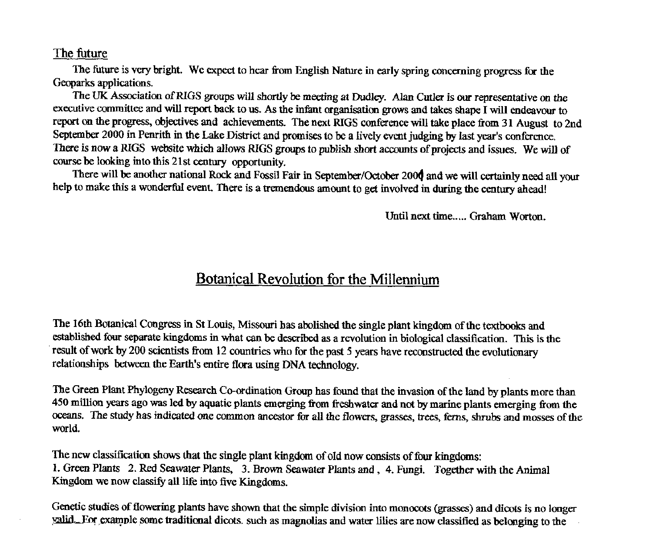#### The future

*The future is* very bright. We expect to hear from English Nature in early spring concerning progress for the Geoparks applications.

The UK Association of RIGS groups will shortly be meeting at Dudley. Alan Cutler is our representative on the executive committee and will report back to us\_ As the infant organisation grows and takes shape I *will* endeavour to report on the progress, objectives and achievements. The next RIGS conference will take place from 31 August to 2nd September 2000 in Penrith in *the* Lake District and promises to be a lively event judging by last year's conference. There is now a RIGS website which allows RIGS groups to publish short accounts of projects and issues. We will of course be looking into this 21st century opportunity.

There will be another national Rock and Fossil Fair in September/October 2004 and we will certainly need all your help to make this a wonderful event. There is a tremendous amount to get involved in during the century ahead!

Until next time..... Graham Worton.

## Botanical Revolution for the Millennium

The 16th Botanical *Congress* in St Louis, Missouri has abolished the single plant kingdom of the textbooks and established four separate kingdoms in what can be described as a revolution in biological classification. This is the result of work by 200 scientists from 12 countries who for the past 5 years have reconstructed the evolutionary relationships between the Earth's entire flora using DNA technology.

The Green Plant Phylogeny Research Co-ordination Group has found that the invasion of the land by plants more than 450 million years ago *was* led by aquatic plants emerging from freshwater and not by marine plants emerging from the oceans. The study has indicated one common ancestor for all the flowers, grasses, trees, ferns, shrubs and mosses of the world.

The new classification shows that the single plant kingdom of old now consists of four kingdoms: 1. Green PIants 2. Red Seawater Plants, 3. Brown Seawater Plants and , 4. Fungi. Together with the Animal Kingdom we now classify all life into five Kingdoms.

Genetic studies of flowering plants have shown that the simple division into monocots (grasses) and dicots is no longer alkL.Enr.example some traditional dicots. such as magnolias and water lilies are now classified as belonging to the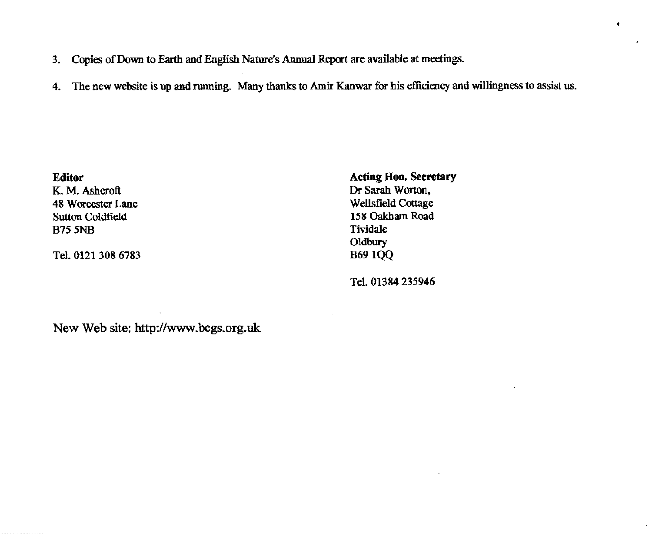- 3. Copies of Down to Earth and English Nature's Annual Report are available at meetings.
- 4. The new website is up and running. Many thanks to Amir Kanwar for his efficiency and willingness to assist us.

Sutton Coldfield 158 Oakland 158 Oakland 158 Oakland 158 Oakland 158 Oakland 158 Oakland 158 Oakland 158 Oakland 158 Oakland 158 Oakland 158 Oakland 158 Oakland 158 Oakland 158 Oakland 158 Oakland 158 Oakland 158 Oakland 1 B75 5NB Tividale

Tel. 0121 308 6783

**Editor Acting Hon. Secretary**<br> **K. M. Ashcroft Action Acting Hon. Secretary**<br> **Cr** Sarah Worton. Dr Sarah Worton,<br>Wellsfield Cottage 48 Worcester Lane Wellsfield Cottage Suiton Coldfield Cottage Suiton Coldfield Cottage Suiton Coldfield Oldbury<br>B69 1QQ

Tel. 01384 235946

New Web site: http://www.bcgs.org.uk